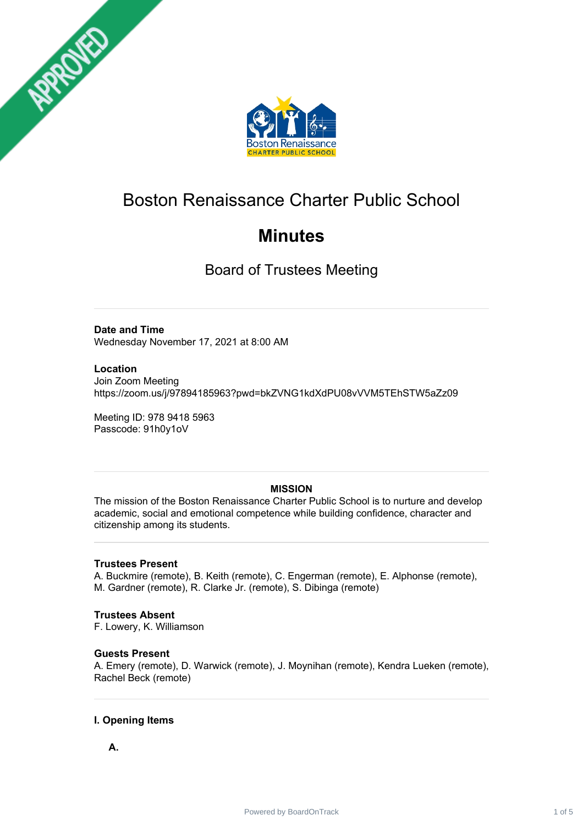



# Boston Renaissance Charter Public School

# **Minutes**

Board of Trustees Meeting

## **Date and Time**

Wednesday November 17, 2021 at 8:00 AM

## **Location**

Join Zoom Meeting https://zoom.us/j/97894185963?pwd=bkZVNG1kdXdPU08vVVM5TEhSTW5aZz09

Meeting ID: 978 9418 5963 Passcode: 91h0y1oV

# **MISSION**

The mission of the Boston Renaissance Charter Public School is to nurture and develop academic, social and emotional competence while building confidence, character and citizenship among its students.

## **Trustees Present**

A. Buckmire (remote), B. Keith (remote), C. Engerman (remote), E. Alphonse (remote), M. Gardner (remote), R. Clarke Jr. (remote), S. Dibinga (remote)

# **Trustees Absent**

F. Lowery, K. Williamson

# **Guests Present**

A. Emery (remote), D. Warwick (remote), J. Moynihan (remote), Kendra Lueken (remote), Rachel Beck (remote)

# **I. Opening Items**

**A.**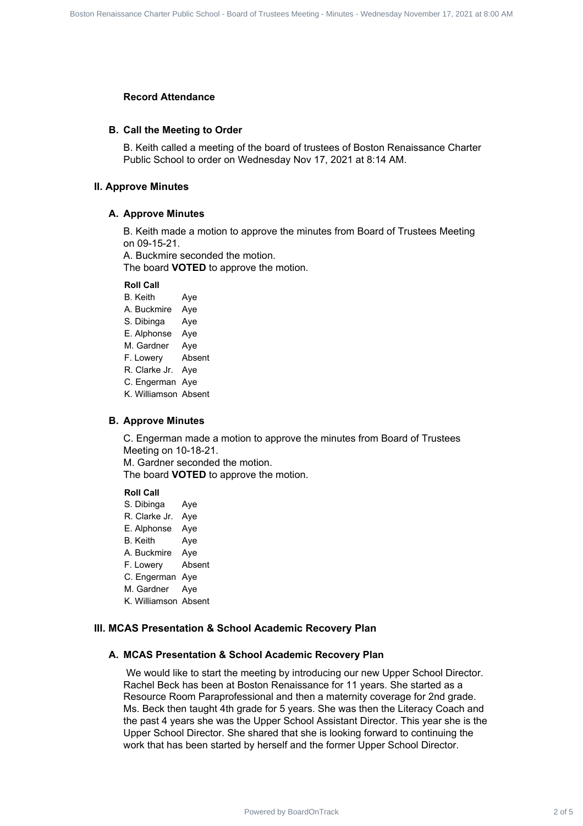#### **Record Attendance**

#### **B. Call the Meeting to Order**

B. Keith called a meeting of the board of trustees of Boston Renaissance Charter Public School to order on Wednesday Nov 17, 2021 at 8:14 AM.

#### **II. Approve Minutes**

#### **A. Approve Minutes**

B. Keith made a motion to approve the minutes from Board of Trustees Meeting on 09-15-21.

A. Buckmire seconded the motion.

The board **VOTED** to approve the motion.

#### **Roll Call**

B. Keith Aye A. Buckmire Aye S. Dibinga Aye E. Alphonse Aye M. Gardner Aye F. Lowery Absent R. Clarke Jr. Aye C. Engerman Aye K. Williamson Absent

#### **B. Approve Minutes**

C. Engerman made a motion to approve the minutes from Board of Trustees Meeting on 10-18-21.

M. Gardner seconded the motion. The board **VOTED** to approve the motion.

#### **Roll Call**

S. Dibinga Aye R. Clarke Jr. Aye E. Alphonse Aye B. Keith Aye A. Buckmire Aye F. Lowery Absent C. Engerman Aye M. Gardner Aye K. Williamson Absent

## **III. MCAS Presentation & School Academic Recovery Plan**

## **A. MCAS Presentation & School Academic Recovery Plan**

We would like to start the meeting by introducing our new Upper School Director. Rachel Beck has been at Boston Renaissance for 11 years. She started as a Resource Room Paraprofessional and then a maternity coverage for 2nd grade. Ms. Beck then taught 4th grade for 5 years. She was then the Literacy Coach and the past 4 years she was the Upper School Assistant Director. This year she is the Upper School Director. She shared that she is looking forward to continuing the work that has been started by herself and the former Upper School Director. Board Members<br> **Record Attendance**<br> **B. Call the Meeting to Order**<br> **B. Call the Meeting to Order**<br> **B. Call the Meeting of Order**<br> **B. Call the Meeting of Order**<br> **Power Members**<br> **A. Approve Members**<br> **A. Approve Member**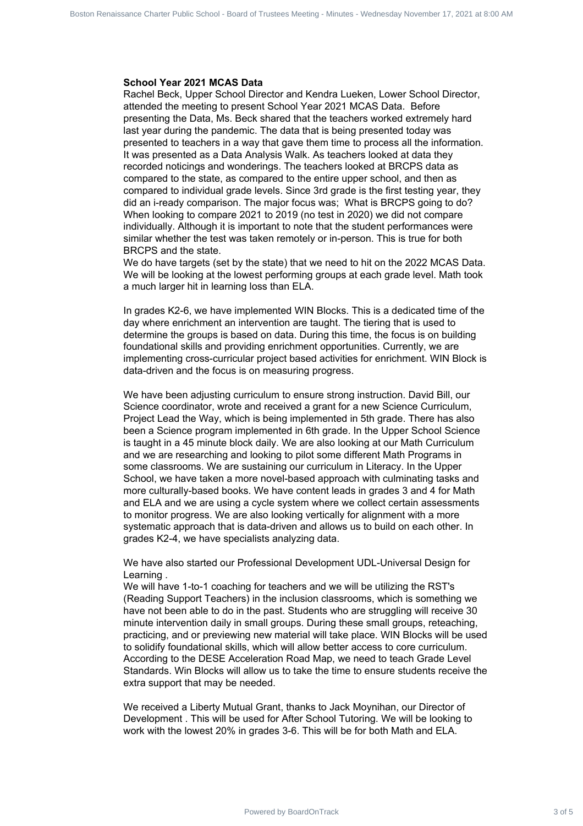#### **School Year 2021 MCAS Data**

Rachel Beck, Upper School Director and Kendra Lueken, Lower School Director, attended the meeting to present School Year 2021 MCAS Data. Before presenting the Data, Ms. Beck shared that the teachers worked extremely hard last year during the pandemic. The data that is being presented today was presented to teachers in a way that gave them time to process all the information. It was presented as a Data Analysis Walk. As teachers looked at data they recorded noticings and wonderings. The teachers looked at BRCPS data as compared to the state, as compared to the entire upper school, and then as compared to individual grade levels. Since 3rd grade is the first testing year, they did an i-ready comparison. The major focus was; What is BRCPS going to do? When looking to compare 2021 to 2019 (no test in 2020) we did not compare individually. Although it is important to note that the student performances were similar whether the test was taken remotely or in-person. This is true for both BRCPS and the state. Board in the state from the state from the state of transmission Public School and School and School and School and School and School and School and School and School and School and School and School and School and School

We do have targets (set by the state) that we need to hit on the 2022 MCAS Data. We will be looking at the lowest performing groups at each grade level. Math took a much larger hit in learning loss than ELA.

In grades K2-6, we have implemented WIN Blocks. This is a dedicated time of the day where enrichment an intervention are taught. The tiering that is used to determine the groups is based on data. During this time, the focus is on building foundational skills and providing enrichment opportunities. Currently, we are implementing cross-curricular project based activities for enrichment. WIN Block is data-driven and the focus is on measuring progress.

We have been adjusting curriculum to ensure strong instruction. David Bill, our Science coordinator, wrote and received a grant for a new Science Curriculum, Project Lead the Way, which is being implemented in 5th grade. There has also been a Science program implemented in 6th grade. In the Upper School Science is taught in a 45 minute block daily. We are also looking at our Math Curriculum and we are researching and looking to pilot some different Math Programs in some classrooms. We are sustaining our curriculum in Literacy. In the Upper School, we have taken a more novel-based approach with culminating tasks and more culturally-based books. We have content leads in grades 3 and 4 for Math and ELA and we are using a cycle system where we collect certain assessments to monitor progress. We are also looking vertically for alignment with a more systematic approach that is data-driven and allows us to build on each other. In grades K2-4, we have specialists analyzing data.

We have also started our Professional Development UDL-Universal Design for Learning .

We will have 1-to-1 coaching for teachers and we will be utilizing the RST's (Reading Support Teachers) in the inclusion classrooms, which is something we have not been able to do in the past. Students who are struggling will receive 30 minute intervention daily in small groups. During these small groups, reteaching, practicing, and or previewing new material will take place. WIN Blocks will be used to solidify foundational skills, which will allow better access to core curriculum. According to the DESE Acceleration Road Map, we need to teach Grade Level Standards. Win Blocks will allow us to take the time to ensure students receive the extra support that may be needed.

We received a Liberty Mutual Grant, thanks to Jack Moynihan, our Director of Development . This will be used for After School Tutoring. We will be looking to work with the lowest 20% in grades 3-6. This will be for both Math and ELA.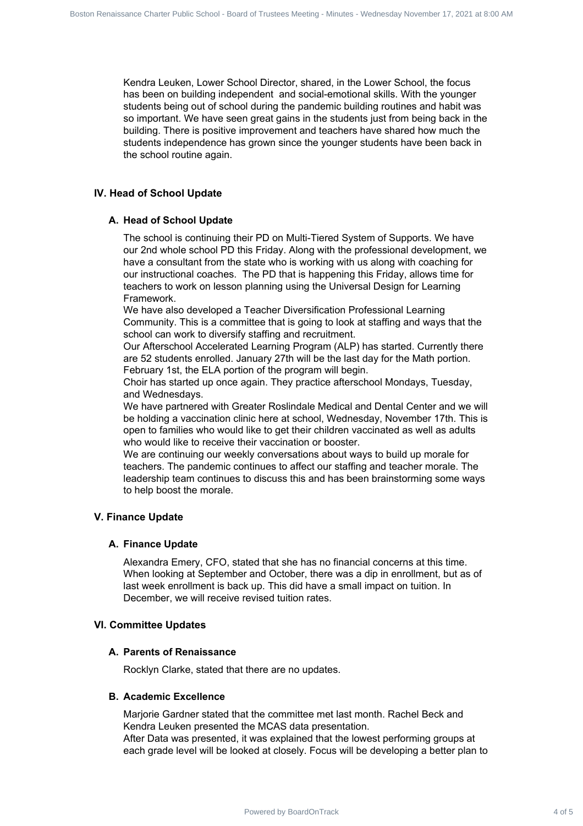Kendra Leuken, Lower School Director, shared, in the Lower School, the focus has been on building independent and social-emotional skills. With the younger students being out of school during the pandemic building routines and habit was so important. We have seen great gains in the students just from being back in the building. There is positive improvement and teachers have shared how much the students independence has grown since the younger students have been back in the school routine again. Board Communication Communication Communication Renaissance Charter Public Communication Charter Public School - Board of Charter Public School - Board of Charter Public School - Board of Charter Public School - Board of C

#### **IV. Head of School Update**

#### **A. Head of School Update**

The school is continuing their PD on Multi-Tiered System of Supports. We have our 2nd whole school PD this Friday. Along with the professional development, we have a consultant from the state who is working with us along with coaching for our instructional coaches. The PD that is happening this Friday, allows time for teachers to work on lesson planning using the Universal Design for Learning Framework.

We have also developed a Teacher Diversification Professional Learning Community. This is a committee that is going to look at staffing and ways that the school can work to diversify staffing and recruitment.

Our Afterschool Accelerated Learning Program (ALP) has started. Currently there are 52 students enrolled. January 27th will be the last day for the Math portion. February 1st, the ELA portion of the program will begin.

Choir has started up once again. They practice afterschool Mondays, Tuesday, and Wednesdays.

We have partnered with Greater Roslindale Medical and Dental Center and we will be holding a vaccination clinic here at school, Wednesday, November 17th. This is open to families who would like to get their children vaccinated as well as adults who would like to receive their vaccination or booster.

We are continuing our weekly conversations about ways to build up morale for teachers. The pandemic continues to affect our staffing and teacher morale. The leadership team continues to discuss this and has been brainstorming some ways to help boost the morale.

## **V. Finance Update**

#### **A. Finance Update**

Alexandra Emery, CFO, stated that she has no financial concerns at this time. When looking at September and October, there was a dip in enrollment, but as of last week enrollment is back up. This did have a small impact on tuition. In December, we will receive revised tuition rates.

#### **VI. Committee Updates**

## **A. Parents of Renaissance**

Rocklyn Clarke, stated that there are no updates.

#### **B. Academic Excellence**

Marjorie Gardner stated that the committee met last month. Rachel Beck and Kendra Leuken presented the MCAS data presentation.

After Data was presented, it was explained that the lowest performing groups at each grade level will be looked at closely. Focus will be developing a better plan to